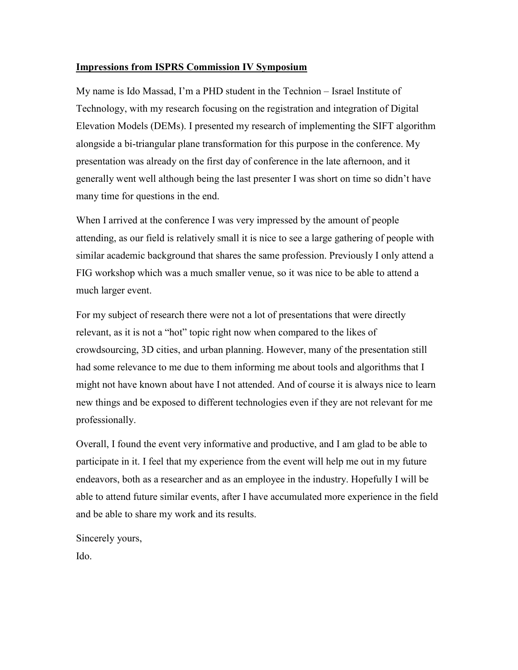## **Impressions from ISPRS Commission IV Symposium**

My name is Ido Massad, I'm a PHD student in the Technion – Israel Institute of Technology, with my research focusing on the registration and integration of Digital Elevation Models (DEMs). I presented my research of implementing the SIFT algorithm alongside a bi-triangular plane transformation for this purpose in the conference. My presentation was already on the first day of conference in the late afternoon, and it generally went well although being the last presenter I was short on time so didn't have many time for questions in the end.

When I arrived at the conference I was very impressed by the amount of people attending, as our field is relatively small it is nice to see a large gathering of people with similar academic background that shares the same profession. Previously I only attend a FIG workshop which was a much smaller venue, so it was nice to be able to attend a much larger event.

For my subject of research there were not a lot of presentations that were directly relevant, as it is not a "hot" topic right now when compared to the likes of crowdsourcing, 3D cities, and urban planning. However, many of the presentation still had some relevance to me due to them informing me about tools and algorithms that I might not have known about have I not attended. And of course it is always nice to learn new things and be exposed to different technologies even if they are not relevant for me professionally.

Overall, I found the event very informative and productive, and I am glad to be able to participate in it. I feel that my experience from the event will help me out in my future endeavors, both as a researcher and as an employee in the industry. Hopefully I will be able to attend future similar events, after I have accumulated more experience in the field and be able to share my work and its results.

Sincerely yours,

Ido.